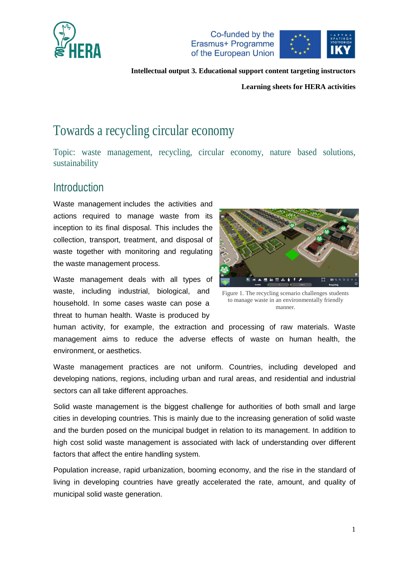





**Learning sheets for HERA activities**

# Towards a recycling circular economy

Topic: waste management, recycling, circular economy, nature based solutions, sustainability

# **Introduction**

Waste management includes the activities and actions required to manage [waste](https://en.wikipedia.org/wiki/Waste) from its inception to its final disposal. This includes the collection, transport, treatment, and disposal of waste together with monitoring and regulating the waste management process.

Waste management deals with all types of waste, including industrial, biological, and household. In some cases waste can pose a threat to human health. Waste is produced by



Figure 1. The recycling scenario challenges students to manage waste in an environmentally friendly manner.

human activity, for example, the extraction and processing of raw materials. Waste management aims to reduce the adverse effects of waste on human [health,](https://en.wikipedia.org/wiki/Health) the [environment](https://en.wikipedia.org/wiki/Environment_(biophysical)), or [aesthetics.](https://en.wikipedia.org/wiki/Aesthetics)

Waste management practices are not uniform. Countries, including [developed](https://en.wikipedia.org/wiki/Developed_nation) and [developing nations,](https://en.wikipedia.org/wiki/Developing_nation) regions, including [urban](https://en.wikipedia.org/wiki/Urban_area) and [rural areas,](https://en.wikipedia.org/wiki/Rural_area) and [residential](https://en.wikipedia.org/wiki/Residential_area) and [industrial](https://en.wikipedia.org/wiki/Industrial_sector) sectors can all take different approaches.

Solid waste management is the biggest challenge for authorities of both small and large cities in developing countries. This is mainly due to the increasing generation of solid waste and the burden posed on the municipal budget in relation to its management. In addition to high cost solid waste management is associated with lack of understanding over different factors that affect the entire handling system.

Population increase, rapid urbanization, booming economy, and the rise in the standard of living in developing countries have greatly accelerated the rate, amount, and quality of [municipal solid waste](https://www.sciencedirect.com/topics/engineering/municipal-solid-waste) generation.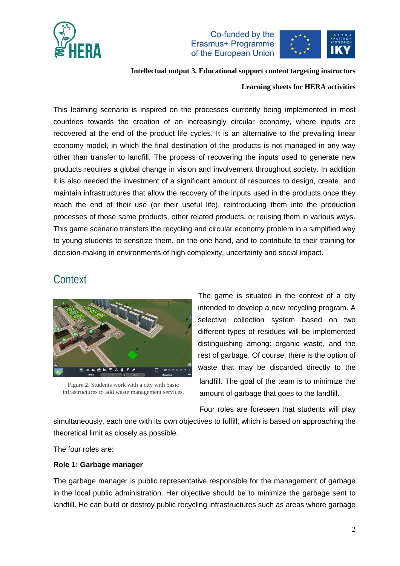

Co-funded by the Erasmus+ Programme of the European Union



#### **Intellectual output 3. Educational support content targeting instructors**

#### **Learning sheets for HERA activities**

This learning scenario is inspired on the processes currently being implemented in most countries towards the creation of an increasingly circular economy, where inputs are recovered at the end of the product life cycles. It is an alternative to the prevailing linear economy model, in which the final destination of the products is not managed in any way other than transfer to landfill. The process of recovering the inputs used to generate new products requires a global change in vision and involvement throughout society. In addition it is also needed the investment of a significant amount of resources to design, create, and maintain infrastructures that allow the recovery of the inputs used in the products once they reach the end of their use (or their useful life), reintroducing them into the production processes of those same products, other related products, or reusing them in various ways. This game scenario transfers the recycling and circular economy problem in a simplified way to young students to sensitize them, on the one hand, and to contribute to their training for decision-making in environments of high complexity, uncertainty and social impact.

### **Context**



Figure 2. Students work with a city with basic infrastructures to add waste management services.

The game is situated in the context of a city intended to develop a new recycling program. A selective collection system based on two different types of residues will be implemented distinguishing among: organic waste, and the rest of garbage. Of course, there is the option of waste that may be discarded directly to the landfill. The goal of the team is to minimize the amount of garbage that goes to the landfill.

Four roles are foreseen that students will play

simultaneously, each one with its own objectives to fulfill, which is based on approaching the theoretical limit as closely as possible.

The four roles are:

#### **Role 1: Garbage manager**

The garbage manager is public representative responsible for the management of garbage in the local public administration. Her objective should be to minimize the garbage sent to landfill. He can build or destroy public recycling infrastructures such as areas where garbage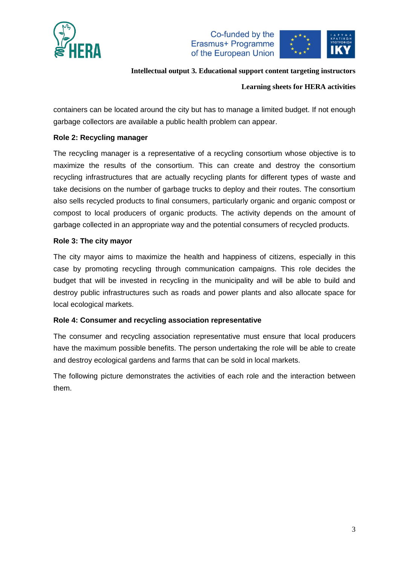





#### **Learning sheets for HERA activities**

containers can be located around the city but has to manage a limited budget. If not enough garbage collectors are available a public health problem can appear.

#### **Role 2: Recycling manager**

The recycling manager is a representative of a recycling consortium whose objective is to maximize the results of the consortium. This can create and destroy the consortium recycling infrastructures that are actually recycling plants for different types of waste and take decisions on the number of garbage trucks to deploy and their routes. The consortium also sells recycled products to final consumers, particularly organic and organic compost or compost to local producers of organic products. The activity depends on the amount of garbage collected in an appropriate way and the potential consumers of recycled products.

#### **Role 3: The city mayor**

The city mayor aims to maximize the health and happiness of citizens, especially in this case by promoting recycling through communication campaigns. This role decides the budget that will be invested in recycling in the municipality and will be able to build and destroy public infrastructures such as roads and power plants and also allocate space for local ecological markets.

#### **Role 4: Consumer and recycling association representative**

The consumer and recycling association representative must ensure that local producers have the maximum possible benefits. The person undertaking the role will be able to create and destroy ecological gardens and farms that can be sold in local markets.

The following picture demonstrates the activities of each role and the interaction between them.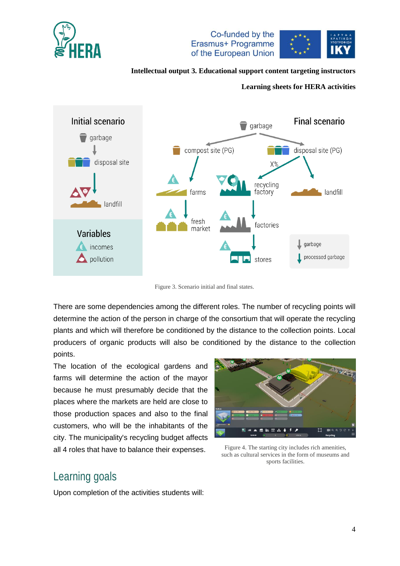



#### **Learning sheets for HERA activities**



Figure 3. Scenario initial and final states.

There are some dependencies among the different roles. The number of recycling points will determine the action of the person in charge of the consortium that will operate the recycling plants and which will therefore be conditioned by the distance to the collection points. Local producers of organic products will also be conditioned by the distance to the collection points.

The location of the ecological gardens and farms will determine the action of the mayor because he must presumably decide that the places where the markets are held are close to those production spaces and also to the final customers, who will be the inhabitants of the city. The municipality's recycling budget affects all 4 roles that have to balance their expenses.



Figure 4. The starting city includes rich amenities, such as cultural services in the form of museums and sports facilities.

# Learning goals

Upon completion of the activities students will: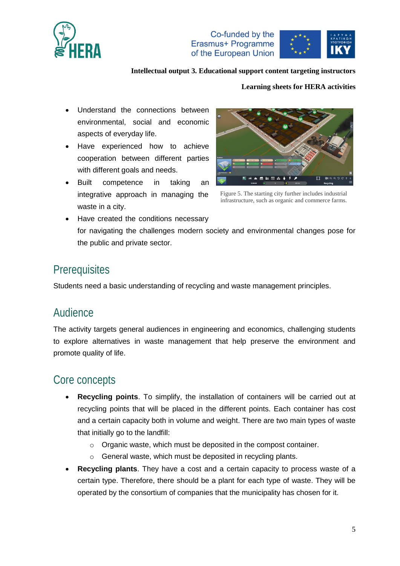





#### **Learning sheets for HERA activities**

- Understand the connections between environmental, social and economic aspects of everyday life.
- Have experienced how to achieve cooperation between different parties with different goals and needs.
- Built competence in taking an integrative approach in managing the waste in a city.



Figure 5. The starting city further includes industrial infrastructure, such as organic and commerce farms.

 Have created the conditions necessary for navigating the challenges modern society and environmental changes pose for the public and private sector.

### **Prerequisites**

Students need a basic understanding of recycling and waste management principles.

# Audience

The activity targets general audiences in engineering and economics, challenging students to explore alternatives in waste management that help preserve the environment and promote quality of life.

# Core concepts

- **Recycling points**. To simplify, the installation of containers will be carried out at recycling points that will be placed in the different points. Each container has cost and a certain capacity both in volume and weight. There are two main types of waste that initially go to the landfill:
	- o Organic waste, which must be deposited in the compost container.
	- o General waste, which must be deposited in recycling plants.
- **Recycling plants**. They have a cost and a certain capacity to process waste of a certain type. Therefore, there should be a plant for each type of waste. They will be operated by the consortium of companies that the municipality has chosen for it.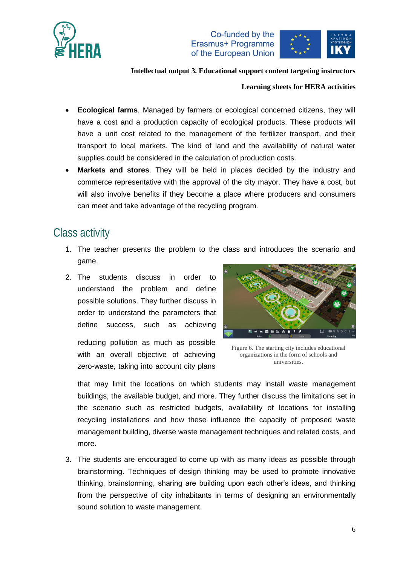



#### **Learning sheets for HERA activities**

- **Ecological farms**. Managed by farmers or ecological concerned citizens, they will have a cost and a production capacity of ecological products. These products will have a unit cost related to the management of the fertilizer transport, and their transport to local markets. The kind of land and the availability of natural water supplies could be considered in the calculation of production costs.
- **Markets and stores**. They will be held in places decided by the industry and commerce representative with the approval of the city mayor. They have a cost, but will also involve benefits if they become a place where producers and consumers can meet and take advantage of the recycling program.

# Class activity

- 1. The teacher presents the problem to the class and introduces the scenario and game.
- 2. The students discuss in order to understand the problem and define possible solutions. They further discuss in order to understand the parameters that define success, such as achieving

reducing pollution as much as possible with an overall objective of achieving zero-waste, taking into account city plans



Figure 6. The starting city includes educational organizations in the form of schools and universities.

that may limit the locations on which students may install waste management buildings, the available budget, and more. They further discuss the limitations set in the scenario such as restricted budgets, availability of locations for installing recycling installations and how these influence the capacity of proposed waste management building, diverse waste management techniques and related costs, and more.

3. The students are encouraged to come up with as many ideas as possible through brainstorming. Techniques of design thinking may be used to promote innovative thinking, brainstorming, sharing are building upon each other's ideas, and thinking from the perspective of city inhabitants in terms of designing an environmentally sound solution to waste management.